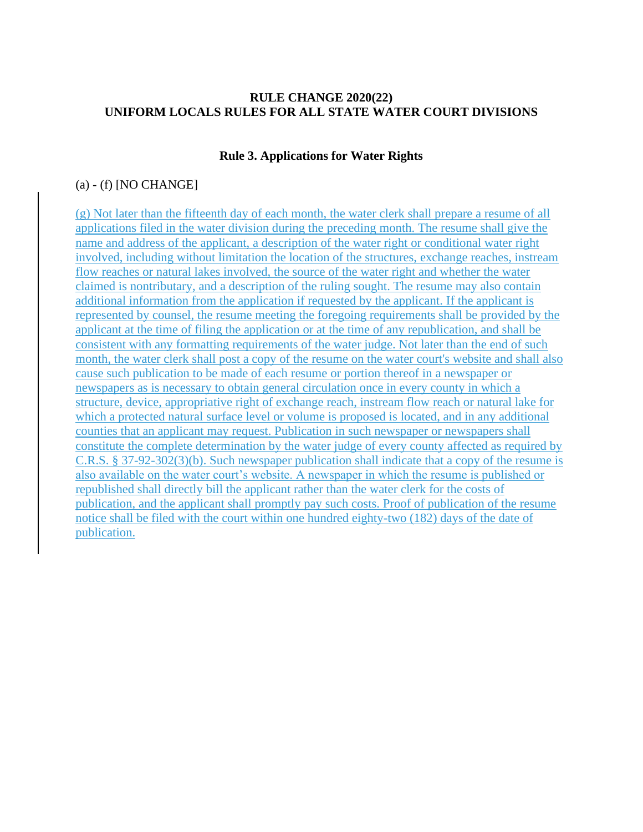# **RULE CHANGE 2020(22) UNIFORM LOCALS RULES FOR ALL STATE WATER COURT DIVISIONS**

## **Rule 3. Applications for Water Rights**

## $(a)$  - (f) [NO CHANGE]

(g) Not later than the fifteenth day of each month, the water clerk shall prepare a resume of all applications filed in the water division during the preceding month. The resume shall give the name and address of the applicant, a description of the water right or conditional water right involved, including without limitation the location of the structures, exchange reaches, instream flow reaches or natural lakes involved, the source of the water right and whether the water claimed is nontributary, and a description of the ruling sought. The resume may also contain additional information from the application if requested by the applicant. If the applicant is represented by counsel, the resume meeting the foregoing requirements shall be provided by the applicant at the time of filing the application or at the time of any republication, and shall be consistent with any formatting requirements of the water judge. Not later than the end of such month, the water clerk shall post a copy of the resume on the water court's website and shall also cause such publication to be made of each resume or portion thereof in a newspaper or newspapers as is necessary to obtain general circulation once in every county in which a structure, device, appropriative right of exchange reach, instream flow reach or natural lake for which a protected natural surface level or volume is proposed is located, and in any additional counties that an applicant may request. Publication in such newspaper or newspapers shall constitute the complete determination by the water judge of every county affected as required by C.R.S. § 37-92-302(3)(b). Such newspaper publication shall indicate that a copy of the resume is also available on the water court's website. A newspaper in which the resume is published or republished shall directly bill the applicant rather than the water clerk for the costs of publication, and the applicant shall promptly pay such costs. Proof of publication of the resume notice shall be filed with the court within one hundred eighty-two (182) days of the date of publication.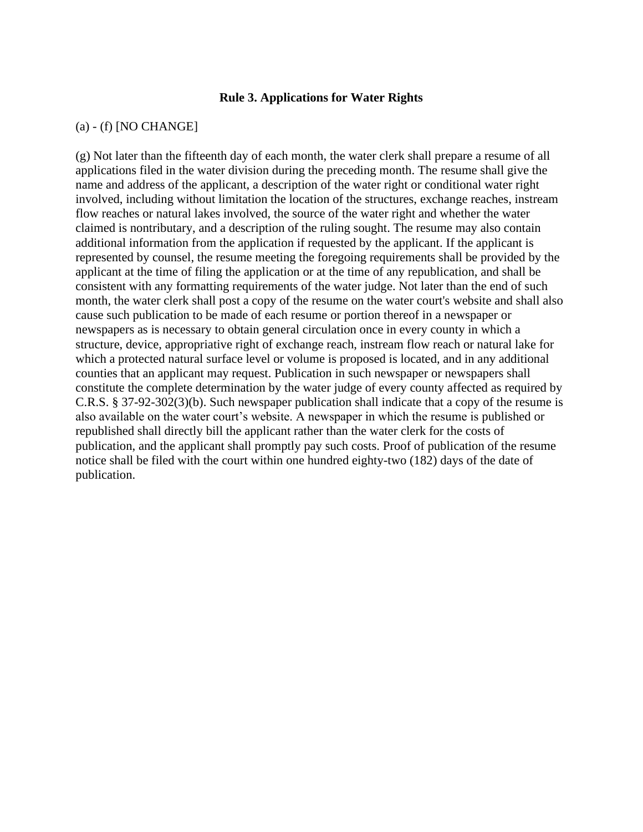#### **Rule 3. Applications for Water Rights**

## (a) - (f) [NO CHANGE]

(g) Not later than the fifteenth day of each month, the water clerk shall prepare a resume of all applications filed in the water division during the preceding month. The resume shall give the name and address of the applicant, a description of the water right or conditional water right involved, including without limitation the location of the structures, exchange reaches, instream flow reaches or natural lakes involved, the source of the water right and whether the water claimed is nontributary, and a description of the ruling sought. The resume may also contain additional information from the application if requested by the applicant. If the applicant is represented by counsel, the resume meeting the foregoing requirements shall be provided by the applicant at the time of filing the application or at the time of any republication, and shall be consistent with any formatting requirements of the water judge. Not later than the end of such month, the water clerk shall post a copy of the resume on the water court's website and shall also cause such publication to be made of each resume or portion thereof in a newspaper or newspapers as is necessary to obtain general circulation once in every county in which a structure, device, appropriative right of exchange reach, instream flow reach or natural lake for which a protected natural surface level or volume is proposed is located, and in any additional counties that an applicant may request. Publication in such newspaper or newspapers shall constitute the complete determination by the water judge of every county affected as required by C.R.S. § 37-92-302(3)(b). Such newspaper publication shall indicate that a copy of the resume is also available on the water court's website. A newspaper in which the resume is published or republished shall directly bill the applicant rather than the water clerk for the costs of publication, and the applicant shall promptly pay such costs. Proof of publication of the resume notice shall be filed with the court within one hundred eighty-two (182) days of the date of publication.